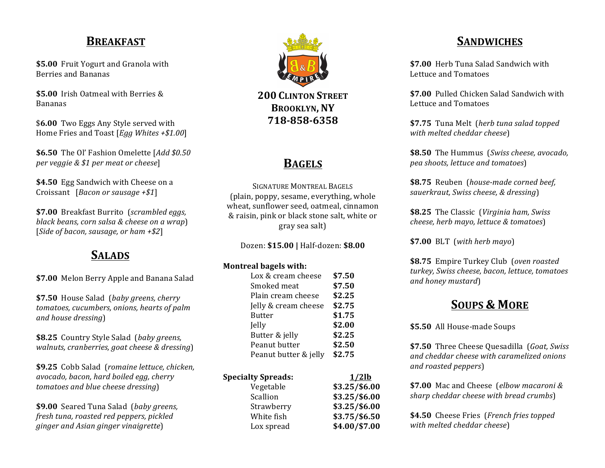### **BREAKFAST**

**\$5.00** Fruit Yogurt and Granola with Berries and Bananas

\$5.00 Irish Oatmeal with Berries & Bananas

\$6.00 Two Eggs Any Style served with Home Fries and Toast [*Egg Whites* +\$1.00]

**\$6.50** The Ol' Fashion Omelette [Add \$0.50 *per veggie & \$1 per meat or cheese*]

**\$4.50** Egg Sandwich with Cheese on a Croissant [*Bacon or sausage +\$1*]

**\$7.00** Breakfast Burrito (*scrambled eggs*, *black beans, corn salsa & cheese on a wrap*) [*Side of bacon, sausage, or ham +\$2*]

# **SALADS**

**\$7.00** Melon Berry Apple and Banana Salad

**\$7.50** House Salad (*baby greens, cherry tomatoes, cucumbers, onions, hearts of palm and house dressing*)

\$8.25 Country Style Salad (baby greens, *walnuts, cranberries, goat cheese & dressing*)

\$9.25 Cobb Salad (*romaine lettuce*, *chicken*, *avocado, bacon, hard boiled egg, cherry tomatoes and blue cheese dressing*)

**\$9.00** Seared Tuna Salad (baby greens, *fresh tuna, roasted red peppers, pickled ginger and Asian ginger vinaigrette*)



**BROOKLYN, NY 718-858-6358**

# **BAGELS**

SIGNATURE MONTREAL BAGELS (plain, poppy, sesame, everything, whole wheat, sunflower seed, oatmeal, cinnamon & raisin, pink or black stone salt, white or gray sea salt)

Dozen: **\$15.00 |** Half-dozen: **\$8.00**

#### **Montreal bagels with:**

| Lox & cream cheese    | \$7.50 |
|-----------------------|--------|
| Smoked meat           | \$7.50 |
| Plain cream cheese    | \$2.25 |
| Jelly & cream cheese  | \$2.75 |
| Butter                | \$1.75 |
| Jelly                 | \$2.00 |
| Butter & jelly        | \$2.25 |
| Peanut butter         | \$2.50 |
| Peanut butter & jelly | \$2.75 |
|                       |        |

| <b>Specialty Spreads:</b> | $1/2$ lb      |
|---------------------------|---------------|
| Vegetable                 | \$3.25/\$6.00 |
| Scallion                  | \$3.25/\$6.00 |
| Strawberry                | \$3.25/\$6.00 |
| White fish                | \$3.75/\$6.50 |
| Lox spread                | \$4.00/\$7.00 |

# **SANDWICHES**

**\$7.00** Herb Tuna Salad Sandwich with Lettuce and Tomatoes

**\$7.00** Pulled Chicken Salad Sandwich with Lettuce and Tomatoes

**\$7.75** Tuna Melt (*herb* tuna salad topped *with melted cheddar cheese*)

**\$8.50** The Hummus (*Swiss cheese, avocado, pea shoots, lettuce and tomatoes*)

**\$8.75** Reuben (*house-made corned beef*, *sauerkraut, Swiss cheese, & dressing*)

**\$8.25** The Classic (*Virginia ham, Swiss cheese, herb mayo, lettuce & tomatoes*)

**\$7.00**  BLT (*with herb mayo*) 

**\$8.75** Empire Turkey Club (oven roasted *turkey, Swiss cheese, bacon, lettuce, tomatoes and honey mustard*)

## **SOUPS & MORE**

**\$5.50** All House-made Soups

**\$7.50** Three Cheese Ouesadilla (*Goat, Swiss*) *and cheddar cheese with caramelized onions and roasted peppers*)

**\$7.00** Mac and Cheese (*elbow macaroni* & *sharp cheddar cheese with bread crumbs*)

**\$4.50** Cheese Fries (*French fries topped with melted cheddar cheese*)